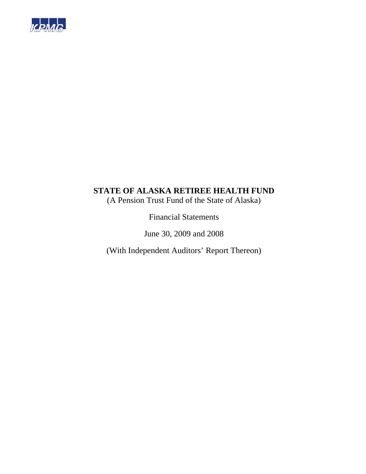

(A Pension Trust Fund of the State of Alaska)

Financial Statements

June 30, 2009 and 2008

(With Independent Auditors' Report Thereon)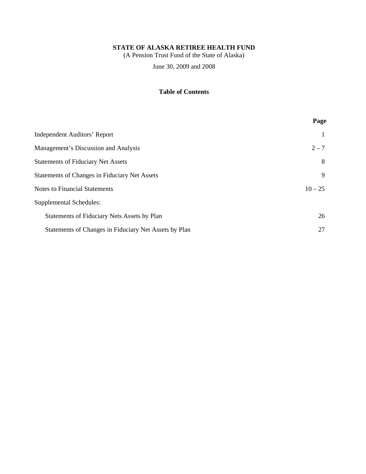(A Pension Trust Fund of the State of Alaska)

June 30, 2009 and 2008

## **Table of Contents**

|                                                       | Page      |
|-------------------------------------------------------|-----------|
| <b>Independent Auditors' Report</b>                   |           |
| Management's Discussion and Analysis                  | $2 - 7$   |
| <b>Statements of Fiduciary Net Assets</b>             | 8         |
| <b>Statements of Changes in Fiduciary Net Assets</b>  | 9         |
| <b>Notes to Financial Statements</b>                  | $10 - 25$ |
| Supplemental Schedules:                               |           |
| Statements of Fiduciary Nets Assets by Plan           | 26        |
| Statements of Changes in Fiduciary Net Assets by Plan | 27        |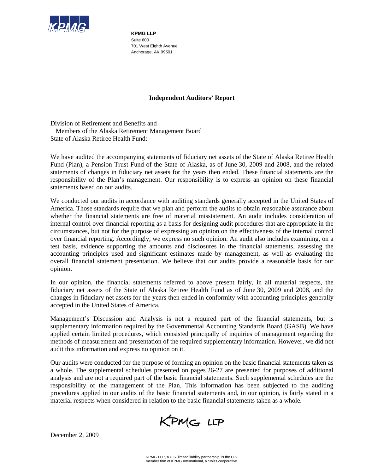

**KPMG LLP**  Suite 600 701 West Eighth Avenue Anchorage, AK 99501

### **Independent Auditors' Report**

Division of Retirement and Benefits and Members of the Alaska Retirement Management Board State of Alaska Retiree Health Fund:

We have audited the accompanying statements of fiduciary net assets of the State of Alaska Retiree Health Fund (Plan), a Pension Trust Fund of the State of Alaska, as of June 30, 2009 and 2008, and the related statements of changes in fiduciary net assets for the years then ended. These financial statements are the responsibility of the Plan's management. Our responsibility is to express an opinion on these financial statements based on our audits.

We conducted our audits in accordance with auditing standards generally accepted in the United States of America. Those standards require that we plan and perform the audits to obtain reasonable assurance about whether the financial statements are free of material misstatement. An audit includes consideration of internal control over financial reporting as a basis for designing audit procedures that are appropriate in the circumstances, but not for the purpose of expressing an opinion on the effectiveness of the internal control over financial reporting. Accordingly, we express no such opinion. An audit also includes examining, on a test basis, evidence supporting the amounts and disclosures in the financial statements, assessing the accounting principles used and significant estimates made by management, as well as evaluating the overall financial statement presentation. We believe that our audits provide a reasonable basis for our opinion.

In our opinion, the financial statements referred to above present fairly, in all material respects, the fiduciary net assets of the State of Alaska Retiree Health Fund as of June 30, 2009 and 2008, and the changes in fiduciary net assets for the years then ended in conformity with accounting principles generally accepted in the United States of America.

Management's Discussion and Analysis is not a required part of the financial statements, but is supplementary information required by the Governmental Accounting Standards Board (GASB). We have applied certain limited procedures, which consisted principally of inquiries of management regarding the methods of measurement and presentation of the required supplementary information. However, we did not audit this information and express no opinion on it.

Our audits were conducted for the purpose of forming an opinion on the basic financial statements taken as a whole. The supplemental schedules presented on pages 26-27 are presented for purposes of additional analysis and are not a required part of the basic financial statements. Such supplemental schedules are the responsibility of the management of the Plan. This information has been subjected to the auditing procedures applied in our audits of the basic financial statements and, in our opinion, is fairly stated in a material respects when considered in relation to the basic financial statements taken as a whole.

KPMG LLP

December 2, 2009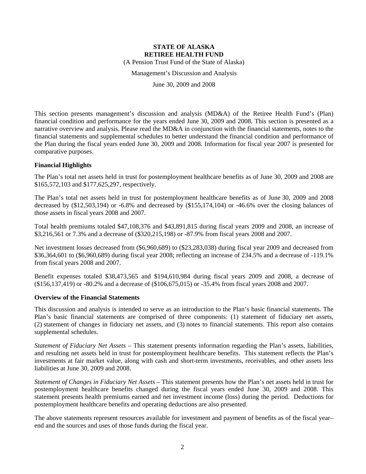(A Pension Trust Fund of the State of Alaska)

Management's Discussion and Analysis

June 30, 2009 and 2008

This section presents management's discussion and analysis (MD&A) of the Retiree Health Fund's (Plan) financial condition and performance for the years ended June 30, 2009 and 2008. This section is presented as a narrative overview and analysis. Please read the MD&A in conjunction with the financial statements, notes to the financial statements and supplemental schedules to better understand the financial condition and performance of the Plan during the fiscal years ended June 30, 2009 and 2008. Information for fiscal year 2007 is presented for comparative purposes.

### **Financial Highlights**

The Plan's total net assets held in trust for postemployment healthcare benefits as of June 30, 2009 and 2008 are \$165,572,103 and \$177,625,297, respectively.

The Plan's total net assets held in trust for postemployment healthcare benefits as of June 30, 2009 and 2008 decreased by (\$12,503,194) or -6.8% and decreased by (\$155,174,104) or -46.6% over the closing balances of those assets in fiscal years 2008 and 2007.

Total health premiums totaled \$47,108,376 and \$43,891,815 during fiscal years 2009 and 2008, an increase of \$3,216,561 or 7.3% and a decrease of (\$320,215,198) or -87.9% from fiscal years 2008 and 2007.

Net investment losses decreased from (\$6,960,689) to (\$23,283,038) during fiscal year 2009 and decreased from \$36,364,601 to (\$6,960,689) during fiscal year 2008; reflecting an increase of 234.5% and a decrease of -119.1% from fiscal years 2008 and 2007.

Benefit expenses totaled \$38,473,565 and \$194,610,984 during fiscal years 2009 and 2008, a decrease of (\$156,137,419) or -80.2% and a decrease of (\$106,675,015) or -35.4% from fiscal years 2008 and 2007.

### **Overview of the Financial Statements**

This discussion and analysis is intended to serve as an introduction to the Plan's basic financial statements. The Plan's basic financial statements are comprised of three components: (1) statement of fiduciary net assets, (2) statement of changes in fiduciary net assets, and (3) notes to financial statements. This report also contains supplemental schedules.

*Statement of Fiduciary Net Assets* – This statement presents information regarding the Plan's assets, liabilities, and resulting net assets held in trust for postemployment healthcare benefits. This statement reflects the Plan's investments at fair market value, along with cash and short-term investments, receivables, and other assets less liabilities at June 30, 2009 and 2008.

*Statement of Changes in Fiduciary Net Assets* – This statement presents how the Plan's net assets held in trust for postemployment healthcare benefits changed during the fiscal years ended June 30, 2009 and 2008. This statement presents health premiums earned and net investment income (loss) during the period. Deductions for postemployment healthcare benefits and operating deductions are also presented.

The above statements represent resources available for investment and payment of benefits as of the fiscal year– end and the sources and uses of those funds during the fiscal year.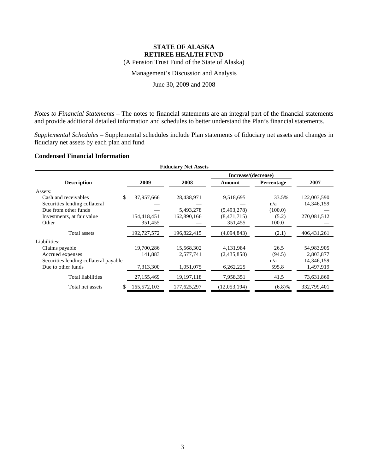(A Pension Trust Fund of the State of Alaska)

Management's Discussion and Analysis

June 30, 2009 and 2008

*Notes to Financial Statements* – The notes to financial statements are an integral part of the financial statements and provide additional detailed information and schedules to better understand the Plan's financial statements.

*Supplemental Schedules* – Supplemental schedules include Plan statements of fiduciary net assets and changes in fiduciary net assets by each plan and fund

### **Condensed Financial Information**

| <b>Fiduciary Net Assets</b>           |             |              |                     |            |               |  |
|---------------------------------------|-------------|--------------|---------------------|------------|---------------|--|
|                                       |             |              | Increase/(decrease) |            |               |  |
| <b>Description</b>                    | 2009        | 2008         | Amount              | Percentage | 2007          |  |
| Assets:                               |             |              |                     |            |               |  |
| \$<br>Cash and receivables            | 37,957,666  | 28,438,971   | 9,518,695           | 33.5%      | 122,003,590   |  |
| Securities lending collateral         |             |              |                     | n/a        | 14,346,159    |  |
| Due from other funds                  |             | 5,493,278    | (5,493,278)         | (100.0)    |               |  |
| Investments, at fair value            | 154,418,451 | 162,890,166  | (8,471,715)         | (5.2)      | 270,081,512   |  |
| Other                                 | 351,455     |              | 351,455             | 100.0      |               |  |
| Total assets                          | 192,727,572 | 196,822,415  | (4,094,843)         | (2.1)      | 406, 431, 261 |  |
| Liabilities:                          |             |              |                     |            |               |  |
| Claims payable                        | 19,700,286  | 15,568,302   | 4,131,984           | 26.5       | 54,983,905    |  |
| Accrued expenses                      | 141,883     | 2,577,741    | (2,435,858)         | (94.5)     | 2,803,877     |  |
| Securities lending collateral payable |             |              |                     | n/a        | 14,346,159    |  |
| Due to other funds                    | 7,313,300   | 1,051,075    | 6,262,225           | 595.8      | 1,497,919     |  |
| <b>Total liabilities</b>              | 27,155,469  | 19, 197, 118 | 7,958,351           | 41.5       | 73,631,860    |  |
| Total net assets<br>S                 | 165,572,103 | 177,625,297  | (12,053,194)        | (6.8)%     | 332,799,401   |  |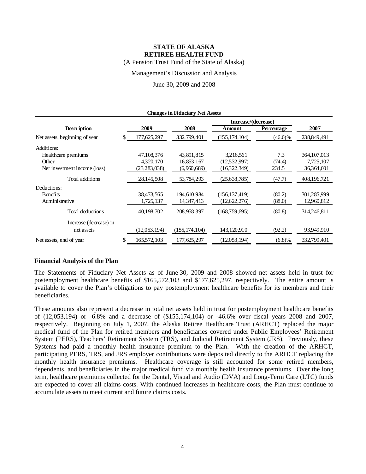(A Pension Trust Fund of the State of Alaska)

Management's Discussion and Analysis

June 30, 2009 and 2008

| <b>Changes in Fiduciary Net Assets</b> |                     |                |                 |                 |            |               |  |  |
|----------------------------------------|---------------------|----------------|-----------------|-----------------|------------|---------------|--|--|
|                                        | Increase/(decrease) |                |                 |                 |            |               |  |  |
| <b>Description</b>                     |                     | 2009           | 2008            | Amount          | Percentage | 2007          |  |  |
| Net assets, beginning of year          | \$                  | 177,625,297    | 332,799,401     | (155, 174, 104) | $(46.6)\%$ | 238,849,491   |  |  |
| Additions:                             |                     |                |                 |                 |            |               |  |  |
| Healthcare premiums                    |                     | 47.108.376     | 43,891,815      | 3,216,561       | 7.3        | 364, 107, 013 |  |  |
| Other                                  |                     | 4,320,170      | 16,853,167      | (12,532,997)    | (74.4)     | 7,725,107     |  |  |
| Net investment income (loss)           |                     | (23, 283, 038) | (6,960,689)     | (16,322,349)    | 234.5      | 36,364,601    |  |  |
| Total additions                        |                     | 28, 145, 508   | 53,784,293      | (25, 638, 785)  | (47.7)     | 408,196,721   |  |  |
| Deductions:                            |                     |                |                 |                 |            |               |  |  |
| <b>Benefits</b>                        |                     | 38,473,565     | 194.610.984     | (156, 137, 419) | (80.2)     | 301,285,999   |  |  |
| Administrative                         |                     | 1,725,137      | 14, 347, 413    | (12,622,276)    | (88.0)     | 12,960,812    |  |  |
| Total deductions                       |                     | 40,198,702     | 208,958,397     | (168,759,695)   | (80.8)     | 314,246,811   |  |  |
| Increase (decrease) in                 |                     |                |                 |                 |            |               |  |  |
| net assets                             |                     | (12,053,194)   | (155, 174, 104) | 143,120,910     | (92.2)     | 93,949,910    |  |  |
| Net assets, end of year                | \$                  | 165,572,103    | 177,625,297     | (12,053,194)    | (6.8)%     | 332,799,401   |  |  |

### **Financial Analysis of the Plan**

The Statements of Fiduciary Net Assets as of June 30, 2009 and 2008 showed net assets held in trust for postemployment healthcare benefits of \$165,572,103 and \$177,625,297, respectively. The entire amount is available to cover the Plan's obligations to pay postemployment healthcare benefits for its members and their beneficiaries.

These amounts also represent a decrease in total net assets held in trust for postemployment healthcare benefits of (12,053,194) or -6.8% and a decrease of (\$155,174,104) or -46.6% over fiscal years 2008 and 2007, respectively. Beginning on July 1, 2007, the Alaska Retiree Healthcare Trust (ARHCT) replaced the major medical fund of the Plan for retired members and beneficiaries covered under Public Employees' Retirement System (PERS), Teachers' Retirement System (TRS), and Judicial Retirement System (JRS). Previously, these Systems had paid a monthly health insurance premium to the Plan. With the creation of the ARHCT, participating PERS, TRS, and JRS employer contributions were deposited directly to the ARHCT replacing the monthly health insurance premiums. Healthcare coverage is still accounted for some retired members, dependents, and beneficiaries in the major medical fund via monthly health insurance premiums. Over the long term, healthcare premiums collected for the Dental, Visual and Audio (DVA) and Long-Term Care (LTC) funds are expected to cover all claims costs. With continued increases in healthcare costs, the Plan must continue to accumulate assets to meet current and future claims costs.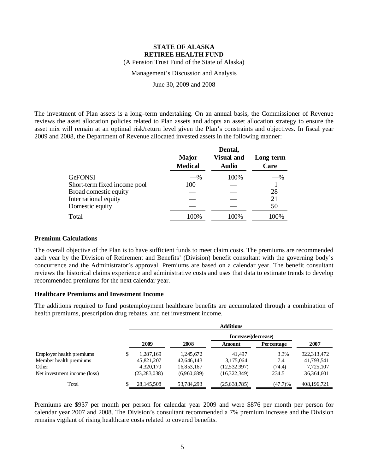(A Pension Trust Fund of the State of Alaska)

### Management's Discussion and Analysis

June 30, 2009 and 2008

The investment of Plan assets is a long–term undertaking. On an annual basis, the Commissioner of Revenue reviews the asset allocation policies related to Plan assets and adopts an asset allocation strategy to ensure the asset mix will remain at an optimal risk/return level given the Plan's constraints and objectives. In fiscal year 2009 and 2008, the Department of Revenue allocated invested assets in the following manner:

|                              | <b>Major</b>   | Dental,<br><b>Visual and</b> | Long-term |
|------------------------------|----------------|------------------------------|-----------|
|                              | <b>Medical</b> | <b>Audio</b>                 | Care      |
| GeFONSI                      | $-$ %          | 100%                         | $-$ %     |
| Short-term fixed income pool | 100            |                              |           |
| Broad domestic equity        |                |                              | 28        |
| International equity         |                |                              | 21        |
| Domestic equity              |                |                              | 50        |
| Total                        | 100%           | 100%                         | 100%      |

### **Premium Calculations**

The overall objective of the Plan is to have sufficient funds to meet claim costs. The premiums are recommended each year by the Division of Retirement and Benefits' (Division) benefit consultant with the governing body's concurrence and the Administrator's approval. Premiums are based on a calendar year. The benefit consultant reviews the historical claims experience and administrative costs and uses that data to estimate trends to develop recommended premiums for the next calendar year.

### **Healthcare Premiums and Investment Income**

The additions required to fund postemployment healthcare benefits are accumulated through a combination of health premiums, prescription drug rebates, and net investment income.

|                              | <b>Additions</b> |                |             |                     |            |             |  |  |
|------------------------------|------------------|----------------|-------------|---------------------|------------|-------------|--|--|
|                              |                  |                |             | Increase/(decrease) |            |             |  |  |
|                              |                  | 2009           | 2008        | <b>Amount</b>       | Percentage | 2007        |  |  |
| Employer health premiums     | S                | 1.287.169      | 1,245,672   | 41.497              | 3.3%       | 322,313,472 |  |  |
| Member health premiums       |                  | 45,821,207     | 42,646,143  | 3,175,064           | 7.4        | 41,793,541  |  |  |
| Other                        |                  | 4,320,170      | 16,853,167  | (12,532,997)        | (74.4)     | 7,725,107   |  |  |
| Net investment income (loss) |                  | (23, 283, 038) | (6,960,689) | (16,322,349)        | 234.5      | 36,364,601  |  |  |
| Total                        |                  | 28, 145, 508   | 53,784,293  | (25,638,785)        | (47.7)%    | 408,196,721 |  |  |

Premiums are \$937 per month per person for calendar year 2009 and were \$876 per month per person for calendar year 2007 and 2008. The Division's consultant recommended a 7% premium increase and the Division remains vigilant of rising healthcare costs related to covered benefits.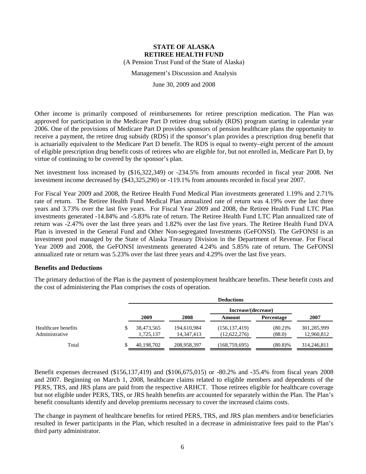(A Pension Trust Fund of the State of Alaska)

### Management's Discussion and Analysis

June 30, 2009 and 2008

Other income is primarily composed of reimbursements for retiree prescription medication. The Plan was approved for participation in the Medicare Part D retiree drug subsidy (RDS) program starting in calendar year 2006. One of the provisions of Medicare Part D provides sponsors of pension healthcare plans the opportunity to receive a payment, the retiree drug subsidy (RDS) if the sponsor's plan provides a prescription drug benefit that is actuarially equivalent to the Medicare Part D benefit. The RDS is equal to twenty–eight percent of the amount of eligible prescription drug benefit costs of retirees who are eligible for, but not enrolled in, Medicare Part D, by virtue of continuing to be covered by the sponsor's plan.

Net investment loss increased by (\$16,322,349) or -234.5% from amounts recorded in fiscal year 2008. Net investment income decreased by (\$43,325,290) or -119.1% from amounts recorded in fiscal year 2007.

For Fiscal Year 2009 and 2008, the Retiree Health Fund Medical Plan investments generated 1.19% and 2.71% rate of return. The Retiree Health Fund Medical Plan annualized rate of return was 4.19% over the last three years and 3.73% over the last five years. For Fiscal Year 2009 and 2008, the Retiree Health Fund LTC Plan investments generated -14.84% and -5.83% rate of return. The Retiree Health Fund LTC Plan annualized rate of return was -2.47% over the last three years and 1.82% over the last five years. The Retiree Health Fund DVA Plan is invested in the General Fund and Other Non-segregated Investments (GeFONSI). The GeFONSI is an investment pool managed by the State of Alaska Treasury Division in the Department of Revenue. For Fiscal Year 2009 and 2008, the GeFONSI investments generated 4.24% and 5.85% rate of return. The GeFONSI annualized rate or return was 5.23% over the last three years and 4.29% over the last five years.

### **Benefits and Deductions**

The primary deduction of the Plan is the payment of postemployment healthcare benefits. These benefit costs and the cost of administering the Plan comprises the costs of operation.

|                                       | <b>Deductions</b>       |                             |                                 |                      |                           |  |  |
|---------------------------------------|-------------------------|-----------------------------|---------------------------------|----------------------|---------------------------|--|--|
|                                       |                         |                             | Increase/(decrease)             |                      |                           |  |  |
|                                       | 2009                    | 2008                        | Amount                          | Percentage           | 2007                      |  |  |
| Healthcare benefits<br>Administrative | 38,473,565<br>1,725,137 | 194,610,984<br>14, 347, 413 | (156, 137, 419)<br>(12,622,276) | $(80.2)\%$<br>(88.0) | 301,285,999<br>12,960,812 |  |  |
| Total                                 | 40,198,702              | 208,958,397                 | (168, 759, 695)                 | $(80.8)\%$           | 314,246,811               |  |  |

Benefit expenses decreased (\$156,137,419) and (\$106,675,015) or -80.2% and -35.4% from fiscal years 2008 and 2007. Beginning on March 1, 2008, healthcare claims related to eligible members and dependents of the PERS, TRS, and JRS plans are paid from the respective ARHCT. Those retirees eligible for healthcare coverage but not eligible under PERS, TRS, or JRS health benefits are accounted for separately within the Plan. The Plan's benefit consultants identify and develop premiums necessary to cover the increased claims costs.

The change in payment of healthcare benefits for retired PERS, TRS, and JRS plan members and/or beneficiaries resulted in fewer participants in the Plan, which resulted in a decrease in administrative fees paid to the Plan's third party administrator.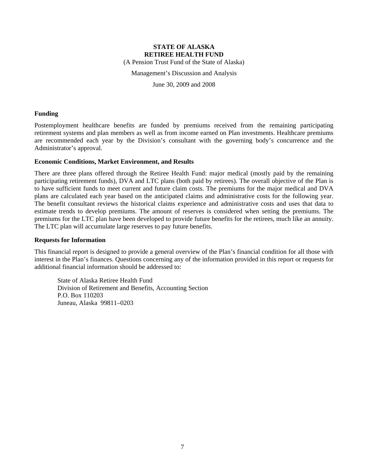(A Pension Trust Fund of the State of Alaska)

Management's Discussion and Analysis

June 30, 2009 and 2008

### **Funding**

Postemployment healthcare benefits are funded by premiums received from the remaining participating retirement systems and plan members as well as from income earned on Plan investments. Healthcare premiums are recommended each year by the Division's consultant with the governing body's concurrence and the Administrator's approval.

### **Economic Conditions, Market Environment, and Results**

There are three plans offered through the Retiree Health Fund: major medical (mostly paid by the remaining participating retirement funds), DVA and LTC plans (both paid by retirees). The overall objective of the Plan is to have sufficient funds to meet current and future claim costs. The premiums for the major medical and DVA plans are calculated each year based on the anticipated claims and administrative costs for the following year. The benefit consultant reviews the historical claims experience and administrative costs and uses that data to estimate trends to develop premiums. The amount of reserves is considered when setting the premiums. The premiums for the LTC plan have been developed to provide future benefits for the retirees, much like an annuity. The LTC plan will accumulate large reserves to pay future benefits.

### **Requests for Information**

This financial report is designed to provide a general overview of the Plan's financial condition for all those with interest in the Plan's finances. Questions concerning any of the information provided in this report or requests for additional financial information should be addressed to:

State of Alaska Retiree Health Fund Division of Retirement and Benefits, Accounting Section P.O. Box 110203 Juneau, Alaska 99811–0203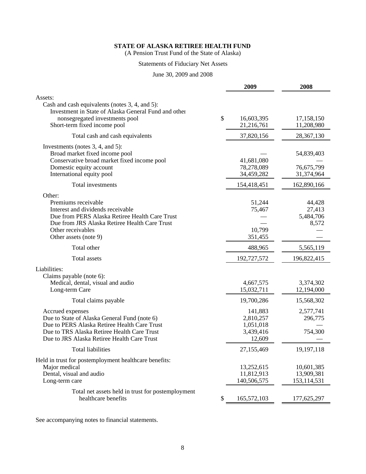(A Pension Trust Fund of the State of Alaska)

### Statements of Fiduciary Net Assets

June 30, 2009 and 2008

|                                                                                                                                                                                                                     | 2009                                                     | 2008                                    |
|---------------------------------------------------------------------------------------------------------------------------------------------------------------------------------------------------------------------|----------------------------------------------------------|-----------------------------------------|
| Assets:                                                                                                                                                                                                             |                                                          |                                         |
| Cash and cash equivalents (notes 3, 4, and 5):<br>Investment in State of Alaska General Fund and other<br>nonsegregated investments pool<br>Short-term fixed income pool                                            | \$<br>16,603,395<br>21,216,761                           | 17,158,150<br>11,208,980                |
| Total cash and cash equivalents                                                                                                                                                                                     | 37,820,156                                               | 28,367,130                              |
| Investments (notes $3, 4$ , and $5$ ):<br>Broad market fixed income pool<br>Conservative broad market fixed income pool<br>Domestic equity account<br>International equity pool                                     | 41,681,080<br>78,278,089<br>34,459,282                   | 54,839,403<br>76,675,799<br>31,374,964  |
| Total investments                                                                                                                                                                                                   | 154,418,451                                              | 162,890,166                             |
| Other:<br>Premiums receivable<br>Interest and dividends receivable<br>Due from PERS Alaska Retiree Health Care Trust<br>Due from JRS Alaska Retiree Health Care Trust<br>Other receivables<br>Other assets (note 9) | 51,244<br>75,467<br>10,799<br>351,455                    | 44,428<br>27,413<br>5,484,706<br>8,572  |
| Total other                                                                                                                                                                                                         | 488,965                                                  | 5,565,119                               |
| <b>Total</b> assets                                                                                                                                                                                                 | 192,727,572                                              | 196,822,415                             |
| Liabilities:<br>Claims payable (note 6):<br>Medical, dental, visual and audio<br>Long-term Care                                                                                                                     | 4,667,575<br>15,032,711                                  | 3,374,302<br>12,194,000                 |
| Total claims payable                                                                                                                                                                                                | 19,700,286                                               | 15,568,302                              |
| Accrued expenses<br>Due to State of Alaska General Fund (note 6)<br>Due to PERS Alaska Retiree Health Care Trust<br>Due to TRS Alaska Retiree Health Care Trust<br>Due to JRS Alaska Retiree Health Care Trust      | 141,883<br>2,810,257<br>1,051,018<br>3,439,416<br>12,609 | 2,577,741<br>296,775<br>754,300         |
| <b>Total liabilities</b>                                                                                                                                                                                            | 27,155,469                                               | 19,197,118                              |
| Held in trust for postemployment healthcare benefits:<br>Major medical<br>Dental, visual and audio<br>Long-term care                                                                                                | 13,252,615<br>11,812,913<br>140,506,575                  | 10,601,385<br>13,909,381<br>153,114,531 |
| Total net assets held in trust for postemployment<br>healthcare benefits                                                                                                                                            | 165,572,103<br>\$                                        | 177,625,297                             |

See accompanying notes to financial statements.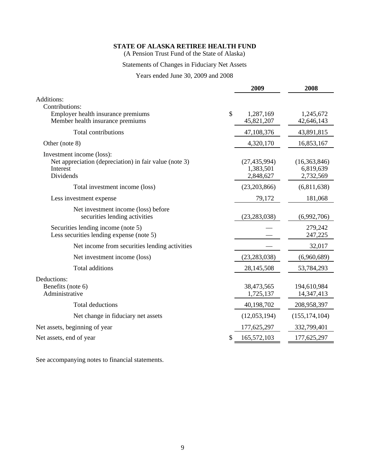(A Pension Trust Fund of the State of Alaska)

## Statements of Changes in Fiduciary Net Assets

Years ended June 30, 2009 and 2008

|                                                                                                              |    | 2009                                     | 2008                                   |
|--------------------------------------------------------------------------------------------------------------|----|------------------------------------------|----------------------------------------|
| Additions:<br>Contributions:                                                                                 |    |                                          |                                        |
| Employer health insurance premiums<br>Member health insurance premiums                                       | \$ | 1,287,169<br>45,821,207                  | 1,245,672<br>42,646,143                |
| <b>Total contributions</b>                                                                                   |    | 47,108,376                               | 43,891,815                             |
| Other (note 8)                                                                                               |    | 4,320,170                                | 16,853,167                             |
| Investment income (loss):<br>Net appreciation (depreciation) in fair value (note 3)<br>Interest<br>Dividends |    | (27, 435, 994)<br>1,383,501<br>2,848,627 | (16,363,846)<br>6,819,639<br>2,732,569 |
| Total investment income (loss)                                                                               |    | (23,203,866)                             | (6,811,638)                            |
| Less investment expense                                                                                      |    | 79,172                                   | 181,068                                |
| Net investment income (loss) before<br>securities lending activities                                         |    | (23, 283, 038)                           | (6,992,706)                            |
| Securities lending income (note 5)<br>Less securities lending expense (note 5)                               |    |                                          | 279,242<br>247,225                     |
| Net income from securities lending activities                                                                |    |                                          | 32,017                                 |
| Net investment income (loss)                                                                                 |    | (23, 283, 038)                           | (6,960,689)                            |
| Total additions                                                                                              |    | 28,145,508                               | 53,784,293                             |
| Deductions:<br>Benefits (note 6)<br>Administrative                                                           |    | 38,473,565<br>1,725,137                  | 194,610,984<br>14,347,413              |
| <b>Total deductions</b>                                                                                      |    | 40,198,702                               | 208,958,397                            |
| Net change in fiduciary net assets                                                                           |    | (12,053,194)                             | (155, 174, 104)                        |
| Net assets, beginning of year                                                                                |    | 177,625,297                              | 332,799,401                            |
| Net assets, end of year                                                                                      | S  | 165,572,103                              | 177,625,297                            |
|                                                                                                              |    |                                          |                                        |

See accompanying notes to financial statements.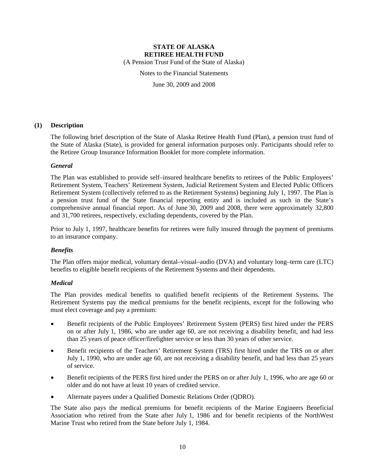(A Pension Trust Fund of the State of Alaska)

Notes to the Financial Statements

June 30, 2009 and 2008

### **(1) Description**

The following brief description of the State of Alaska Retiree Health Fund (Plan), a pension trust fund of the State of Alaska (State), is provided for general information purposes only. Participants should refer to the Retiree Group Insurance Information Booklet for more complete information.

### *General*

The Plan was established to provide self–insured healthcare benefits to retirees of the Public Employees' Retirement System, Teachers' Retirement System, Judicial Retirement System and Elected Public Officers Retirement System (collectively referred to as the Retirement Systems) beginning July 1, 1997. The Plan is a pension trust fund of the State financial reporting entity and is included as such in the State's comprehensive annual financial report. As of June 30, 2009 and 2008, there were approximately 32,800 and 31,700 retirees, respectively, excluding dependents, covered by the Plan.

Prior to July 1, 1997, healthcare benefits for retirees were fully insured through the payment of premiums to an insurance company.

### *Benefits*

The Plan offers major medical, voluntary dental–visual–audio (DVA) and voluntary long–term care (LTC) benefits to eligible benefit recipients of the Retirement Systems and their dependents.

### *Medical*

The Plan provides medical benefits to qualified benefit recipients of the Retirement Systems. The Retirement Systems pay the medical premiums for the benefit recipients, except for the following who must elect coverage and pay a premium:

- Benefit recipients of the Public Employees' Retirement System (PERS) first hired under the PERS on or after July 1, 1986, who are under age 60, are not receiving a disability benefit, and had less than 25 years of peace officer/firefighter service or less than 30 years of other service.
- Benefit recipients of the Teachers' Retirement System (TRS) first hired under the TRS on or after July 1, 1990, who are under age 60, are not receiving a disability benefit, and had less than 25 years of service.
- Benefit recipients of the PERS first hired under the PERS on or after July 1, 1996, who are age 60 or older and do not have at least 10 years of credited service.
- Alternate payees under a Qualified Domestic Relations Order (QDRO).

The State also pays the medical premiums for benefit recipients of the Marine Engineers Beneficial Association who retired from the State after July 1, 1986 and for benefit recipients of the NorthWest Marine Trust who retired from the State before July 1, 1984.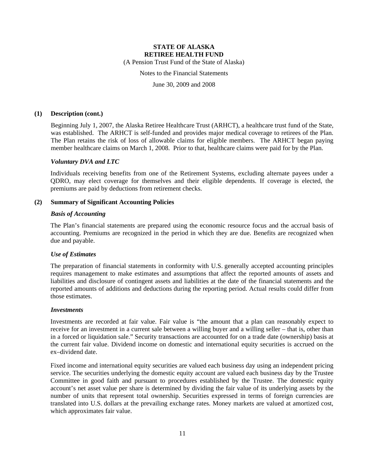(A Pension Trust Fund of the State of Alaska)

Notes to the Financial Statements

June 30, 2009 and 2008

#### **(1) Description (cont.)**

Beginning July 1, 2007, the Alaska Retiree Healthcare Trust (ARHCT), a healthcare trust fund of the State, was established. The ARHCT is self-funded and provides major medical coverage to retirees of the Plan. The Plan retains the risk of loss of allowable claims for eligible members. The ARHCT began paying member healthcare claims on March 1, 2008. Prior to that, healthcare claims were paid for by the Plan.

#### *Voluntary DVA and LTC*

Individuals receiving benefits from one of the Retirement Systems, excluding alternate payees under a QDRO, may elect coverage for themselves and their eligible dependents. If coverage is elected, the premiums are paid by deductions from retirement checks.

#### **(2) Summary of Significant Accounting Policies**

#### *Basis of Accounting*

The Plan's financial statements are prepared using the economic resource focus and the accrual basis of accounting. Premiums are recognized in the period in which they are due. Benefits are recognized when due and payable.

### *Use of Estimates*

The preparation of financial statements in conformity with U.S. generally accepted accounting principles requires management to make estimates and assumptions that affect the reported amounts of assets and liabilities and disclosure of contingent assets and liabilities at the date of the financial statements and the reported amounts of additions and deductions during the reporting period. Actual results could differ from those estimates.

#### *Investments*

Investments are recorded at fair value. Fair value is "the amount that a plan can reasonably expect to receive for an investment in a current sale between a willing buyer and a willing seller – that is, other than in a forced or liquidation sale." Security transactions are accounted for on a trade date (ownership) basis at the current fair value. Dividend income on domestic and international equity securities is accrued on the ex–dividend date.

Fixed income and international equity securities are valued each business day using an independent pricing service. The securities underlying the domestic equity account are valued each business day by the Trustee Committee in good faith and pursuant to procedures established by the Trustee. The domestic equity account's net asset value per share is determined by dividing the fair value of its underlying assets by the number of units that represent total ownership. Securities expressed in terms of foreign currencies are translated into U.S. dollars at the prevailing exchange rates. Money markets are valued at amortized cost, which approximates fair value.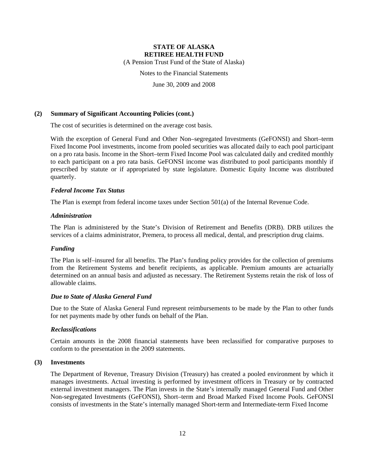(A Pension Trust Fund of the State of Alaska)

Notes to the Financial Statements

June 30, 2009 and 2008

#### **(2) Summary of Significant Accounting Policies (cont.)**

The cost of securities is determined on the average cost basis.

With the exception of General Fund and Other Non–segregated Investments (GeFONSI) and Short–term Fixed Income Pool investments, income from pooled securities was allocated daily to each pool participant on a pro rata basis. Income in the Short–term Fixed Income Pool was calculated daily and credited monthly to each participant on a pro rata basis. GeFONSI income was distributed to pool participants monthly if prescribed by statute or if appropriated by state legislature. Domestic Equity Income was distributed quarterly.

### *Federal Income Tax Status*

The Plan is exempt from federal income taxes under Section 501(a) of the Internal Revenue Code.

#### *Administration*

The Plan is administered by the State's Division of Retirement and Benefits (DRB). DRB utilizes the services of a claims administrator, Premera, to process all medical, dental, and prescription drug claims.

### *Funding*

The Plan is self–insured for all benefits. The Plan's funding policy provides for the collection of premiums from the Retirement Systems and benefit recipients, as applicable. Premium amounts are actuarially determined on an annual basis and adjusted as necessary. The Retirement Systems retain the risk of loss of allowable claims.

#### *Due to State of Alaska General Fund*

Due to the State of Alaska General Fund represent reimbursements to be made by the Plan to other funds for net payments made by other funds on behalf of the Plan.

### *Reclassifications*

Certain amounts in the 2008 financial statements have been reclassified for comparative purposes to conform to the presentation in the 2009 statements.

#### **(3) Investments**

The Department of Revenue, Treasury Division (Treasury) has created a pooled environment by which it manages investments. Actual investing is performed by investment officers in Treasury or by contracted external investment managers. The Plan invests in the State's internally managed General Fund and Other Non-segregated Investments (GeFONSI), Short–term and Broad Marked Fixed Income Pools. GeFONSI consists of investments in the State's internally managed Short-term and Intermediate-term Fixed Income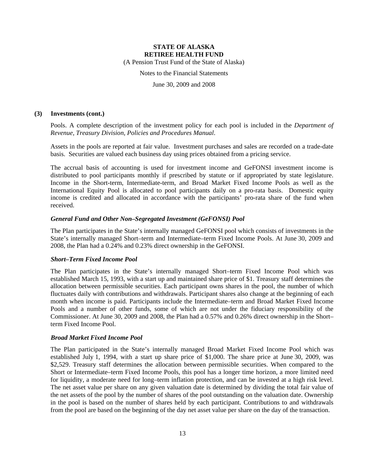(A Pension Trust Fund of the State of Alaska)

Notes to the Financial Statements

June 30, 2009 and 2008

#### **(3) Investments (cont.)**

Pools. A complete description of the investment policy for each pool is included in the *Department of Revenue, Treasury Division, Policies and Procedures Manual*.

Assets in the pools are reported at fair value. Investment purchases and sales are recorded on a trade-date basis. Securities are valued each business day using prices obtained from a pricing service.

The accrual basis of accounting is used for investment income and GeFONSI investment income is distributed to pool participants monthly if prescribed by statute or if appropriated by state legislature. Income in the Short-term, Intermediate-term, and Broad Market Fixed Income Pools as well as the International Equity Pool is allocated to pool participants daily on a pro-rata basis. Domestic equity income is credited and allocated in accordance with the participants' pro-rata share of the fund when received.

### *General Fund and Other Non–Segregated Investment (GeFONSI) Pool*

The Plan participates in the State's internally managed GeFONSI pool which consists of investments in the State's internally managed Short–term and Intermediate–term Fixed Income Pools. At June 30, 2009 and 2008, the Plan had a 0.24% and 0.23% direct ownership in the GeFONSI.

#### *Short–Term Fixed Income Pool*

The Plan participates in the State's internally managed Short–term Fixed Income Pool which was established March 15, 1993, with a start up and maintained share price of \$1. Treasury staff determines the allocation between permissible securities. Each participant owns shares in the pool, the number of which fluctuates daily with contributions and withdrawals. Participant shares also change at the beginning of each month when income is paid. Participants include the Intermediate–term and Broad Market Fixed Income Pools and a number of other funds, some of which are not under the fiduciary responsibility of the Commissioner. At June 30, 2009 and 2008, the Plan had a 0.57% and 0.26% direct ownership in the Short– term Fixed Income Pool.

### *Broad Market Fixed Income Pool*

The Plan participated in the State's internally managed Broad Market Fixed Income Pool which was established July 1, 1994, with a start up share price of \$1,000. The share price at June 30, 2009, was \$2,529. Treasury staff determines the allocation between permissible securities. When compared to the Short or Intermediate–term Fixed Income Pools, this pool has a longer time horizon, a more limited need for liquidity, a moderate need for long–term inflation protection, and can be invested at a high risk level. The net asset value per share on any given valuation date is determined by dividing the total fair value of the net assets of the pool by the number of shares of the pool outstanding on the valuation date. Ownership in the pool is based on the number of shares held by each participant. Contributions to and withdrawals from the pool are based on the beginning of the day net asset value per share on the day of the transaction.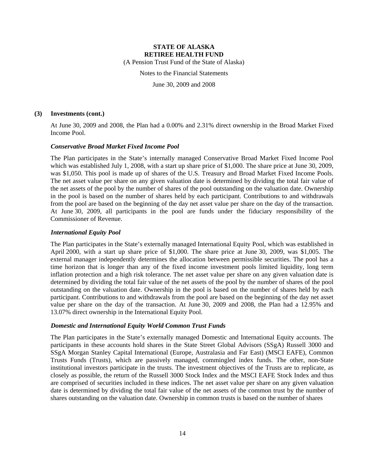(A Pension Trust Fund of the State of Alaska)

Notes to the Financial Statements

June 30, 2009 and 2008

#### **(3) Investments (cont.)**

At June 30, 2009 and 2008, the Plan had a 0.00% and 2.31% direct ownership in the Broad Market Fixed Income Pool.

#### *Conservative Broad Market Fixed Income Pool*

The Plan participates in the State's internally managed Conservative Broad Market Fixed Income Pool which was established July 1, 2008, with a start up share price of \$1,000. The share price at June 30, 2009, was \$1,050. This pool is made up of shares of the U.S. Treasury and Broad Market Fixed Income Pools. The net asset value per share on any given valuation date is determined by dividing the total fair value of the net assets of the pool by the number of shares of the pool outstanding on the valuation date. Ownership in the pool is based on the number of shares held by each participant. Contributions to and withdrawals from the pool are based on the beginning of the day net asset value per share on the day of the transaction. At June 30, 2009, all participants in the pool are funds under the fiduciary responsibility of the Commissioner of Revenue.

### *International Equity Pool*

The Plan participates in the State's externally managed International Equity Pool, which was established in April 2000, with a start up share price of \$1,000. The share price at June 30, 2009, was \$1,005. The external manager independently determines the allocation between permissible securities. The pool has a time horizon that is longer than any of the fixed income investment pools limited liquidity, long term inflation protection and a high risk tolerance. The net asset value per share on any given valuation date is determined by dividing the total fair value of the net assets of the pool by the number of shares of the pool outstanding on the valuation date. Ownership in the pool is based on the number of shares held by each participant. Contributions to and withdrawals from the pool are based on the beginning of the day net asset value per share on the day of the transaction. At June 30, 2009 and 2008, the Plan had a 12.95% and 13.07% direct ownership in the International Equity Pool.

### *Domestic and International Equity World Common Trust Funds*

The Plan participates in the State's externally managed Domestic and International Equity accounts. The participants in these accounts hold shares in the State Street Global Advisors (SSgA) Russell 3000 and SSgA Morgan Stanley Capital International (Europe, Australasia and Far East) (MSCI EAFE), Common Trusts Funds (Trusts), which are passively managed, commingled index funds. The other, non-State institutional investors participate in the trusts. The investment objectives of the Trusts are to replicate, as closely as possible, the return of the Russell 3000 Stock Index and the MSCI EAFE Stock Index and thus are comprised of securities included in these indices. The net asset value per share on any given valuation date is determined by dividing the total fair value of the net assets of the common trust by the number of shares outstanding on the valuation date. Ownership in common trusts is based on the number of shares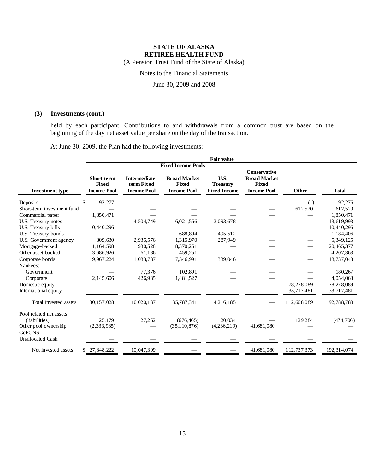(A Pension Trust Fund of the State of Alaska)

Notes to the Financial Statements

June 30, 2009 and 2008

### **(3) Investments (cont.)**

held by each participant. Contributions to and withdrawals from a common trust are based on the beginning of the day net asset value per share on the day of the transaction.

At June 30, 2009, the Plan had the following investments:

|                                          | <b>Fair value</b>                                       |                                                   |                                                           |                                                |                                                                                  |             |               |
|------------------------------------------|---------------------------------------------------------|---------------------------------------------------|-----------------------------------------------------------|------------------------------------------------|----------------------------------------------------------------------------------|-------------|---------------|
|                                          |                                                         |                                                   | <b>Fixed Income Pools</b>                                 |                                                |                                                                                  |             |               |
| <b>Investment type</b>                   | <b>Short-term</b><br><b>Fixed</b><br><b>Income Pool</b> | Intermediate-<br>term Fixed<br><b>Income Pool</b> | <b>Broad Market</b><br><b>Fixed</b><br><b>Income Pool</b> | U.S.<br><b>Treasury</b><br><b>Fixed Income</b> | <b>Conservative</b><br><b>Broad Market</b><br><b>Fixed</b><br><b>Income Pool</b> | Other       | <b>T</b> otal |
| Deposits                                 | 92,277<br>\$                                            |                                                   |                                                           |                                                |                                                                                  | (1)         | 92,276        |
| Short-term investment fund               |                                                         |                                                   |                                                           |                                                |                                                                                  | 612,520     | 612,520       |
| Commercial paper                         | 1,850,471                                               |                                                   |                                                           |                                                |                                                                                  |             | 1,850,471     |
| U.S. Treasury notes                      |                                                         | 4,504,749                                         | 6,021,566                                                 | 3,093,678                                      |                                                                                  |             | 13.619.993    |
| U.S. Treasury bills                      | 10,440,296                                              |                                                   |                                                           |                                                |                                                                                  |             | 10,440,296    |
| U.S. Treasury bonds                      |                                                         |                                                   | 688.894                                                   | 495.512                                        |                                                                                  |             | 1,184,406     |
| U.S. Government agency                   | 809,630                                                 | 2,935,576                                         | 1,315,970                                                 | 287,949                                        |                                                                                  |             | 5,349,125     |
| Mortgage-backed                          | 1,164,598                                               | 930,528                                           | 18,370,251                                                |                                                |                                                                                  |             | 20,465,377    |
| Other asset-backed                       | 3,686,926                                               | 61,186                                            | 459,251                                                   |                                                |                                                                                  |             | 4,207,363     |
| Corporate bonds                          | 9,967,224                                               | 1,083,787                                         | 7,346,991                                                 | 339,046                                        |                                                                                  |             | 18,737,048    |
| Yankees:                                 |                                                         |                                                   |                                                           |                                                |                                                                                  |             |               |
| Government                               |                                                         | 77,376                                            | 102,891                                                   |                                                |                                                                                  |             | 180,267       |
| Corporate                                | 2,145,606                                               | 426,935                                           | 1,481,527                                                 |                                                |                                                                                  |             | 4,054,068     |
| Domestic equity                          |                                                         |                                                   |                                                           |                                                |                                                                                  | 78,278,089  | 78,278,089    |
| International equity                     |                                                         |                                                   |                                                           |                                                |                                                                                  | 33,717,481  | 33,717,481    |
| Total invested assets                    | 30,157,028                                              | 10,020,137                                        | 35,787,341                                                | 4,216,185                                      |                                                                                  | 112,608,089 | 192,788,780   |
| Pool related net assets<br>(liabilities) | 25.179                                                  | 27,262                                            | (676, 465)                                                | 20.034                                         |                                                                                  | 129,284     | (474, 706)    |
| Other pool ownership                     | (2,333,985)                                             |                                                   | (35,110,876)                                              | (4,236,219)                                    | 41,681,080                                                                       |             |               |
| <b>GeFONSI</b>                           |                                                         |                                                   |                                                           |                                                |                                                                                  |             |               |
| <b>Unallocated Cash</b>                  |                                                         |                                                   |                                                           |                                                |                                                                                  |             |               |
| Net invested assets                      | 27,848,222<br>S.                                        | 10,047,399                                        |                                                           |                                                | 41,681,080                                                                       | 112,737,373 | 192, 314, 074 |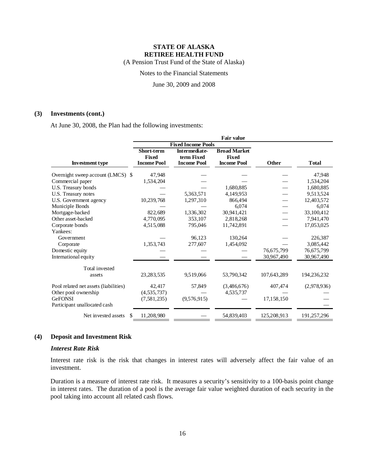(A Pension Trust Fund of the State of Alaska)

Notes to the Financial Statements

June 30, 2009 and 2008

#### **(3) Investments (cont.)**

At June 30, 2008, the Plan had the following investments:

|                                       | Fair value         |                           |                     |             |               |  |
|---------------------------------------|--------------------|---------------------------|---------------------|-------------|---------------|--|
|                                       |                    | <b>Fixed Income Pools</b> |                     |             |               |  |
|                                       | <b>Short-term</b>  | <b>Intermediate-</b>      | <b>Broad Market</b> |             |               |  |
|                                       | <b>Fixed</b>       | term Fixed                | Fixed               |             |               |  |
| <b>Investment type</b>                | <b>Income Pool</b> | <b>Income Pool</b>        | <b>Income Pool</b>  | Other       | <b>T</b> otal |  |
| Overnight sweep account (LMCS) \$     | 47,948             |                           |                     |             | 47,948        |  |
| Commercial paper                      | 1,534,204          |                           |                     |             | 1,534,204     |  |
| U.S. Treasury bonds                   |                    |                           | 1.680.885           |             | 1,680,885     |  |
| U.S. Treasury notes                   |                    | 5,363,571                 | 4,149,953           |             | 9,513,524     |  |
| U.S. Government agency                | 10,239,768         | 1,297,310                 | 866.494             |             | 12,403,572    |  |
| Municiple Bonds                       |                    |                           | 6,074               |             | 6,074         |  |
| Mortgage-backed                       | 822.689            | 1,336,302                 | 30.941.421          |             | 33,100,412    |  |
| Other asset-backed                    | 4,770,095          | 353,107                   | 2,818,268           |             | 7,941,470     |  |
| Corporate bonds                       | 4,515,088          | 795,046                   | 11,742,891          |             | 17,053,025    |  |
| Yankees:                              |                    |                           |                     |             |               |  |
| Government                            |                    | 96,123                    | 130,264             |             | 226,387       |  |
| Corporate                             | 1,353,743          | 277,607                   | 1,454,092           |             | 3,085,442     |  |
| Domestic equity                       |                    |                           |                     | 76,675,799  | 76,675,799    |  |
| International equity                  |                    |                           |                     | 30,967,490  | 30,967,490    |  |
| Total invested                        |                    |                           |                     |             |               |  |
| assets                                | 23, 283, 535       | 9,519,066                 | 53,790,342          | 107,643,289 | 194,236,232   |  |
| Pool related net assets (liabilities) | 42,417             | 57,849                    | (3,486,676)         | 407,474     | (2,978,936)   |  |
| Other pool ownership                  | (4, 535, 737)      |                           | 4,535,737           |             |               |  |
| <b>GeFONSI</b>                        | (7, 581, 235)      | (9,576,915)               |                     | 17,158,150  |               |  |
| Participant unallocated cash          |                    |                           |                     |             |               |  |
| Net invested assets<br>\$.            | 11,208,980         |                           | 54,839,403          | 125,208,913 | 191,257,296   |  |

### **(4) Deposit and Investment Risk**

#### *Interest Rate Risk*

Interest rate risk is the risk that changes in interest rates will adversely affect the fair value of an investment.

Duration is a measure of interest rate risk. It measures a security's sensitivity to a 100-basis point change in interest rates. The duration of a pool is the average fair value weighted duration of each security in the pool taking into account all related cash flows.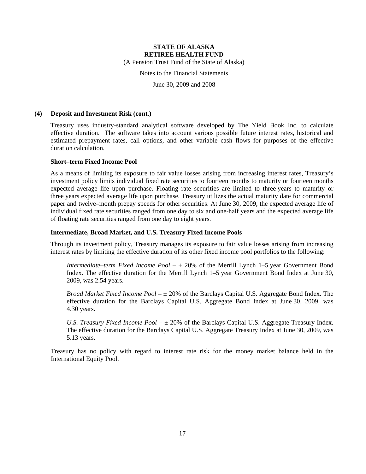(A Pension Trust Fund of the State of Alaska)

Notes to the Financial Statements

June 30, 2009 and 2008

#### **(4) Deposit and Investment Risk (cont.)**

Treasury uses industry-standard analytical software developed by The Yield Book Inc. to calculate effective duration. The software takes into account various possible future interest rates, historical and estimated prepayment rates, call options, and other variable cash flows for purposes of the effective duration calculation.

### **Short–term Fixed Income Pool**

As a means of limiting its exposure to fair value losses arising from increasing interest rates, Treasury's investment policy limits individual fixed rate securities to fourteen months to maturity or fourteen months expected average life upon purchase. Floating rate securities are limited to three years to maturity or three years expected average life upon purchase. Treasury utilizes the actual maturity date for commercial paper and twelve–month prepay speeds for other securities. At June 30, 2009, the expected average life of individual fixed rate securities ranged from one day to six and one-half years and the expected average life of floating rate securities ranged from one day to eight years.

### **Intermediate, Broad Market, and U.S. Treasury Fixed Income Pools**

Through its investment policy, Treasury manages its exposure to fair value losses arising from increasing interest rates by limiting the effective duration of its other fixed income pool portfolios to the following:

*Intermediate–term Fixed Income Pool* – ± 20% of the Merrill Lynch 1–5 year Government Bond Index. The effective duration for the Merrill Lynch 1–5 year Government Bond Index at June 30, 2009, was 2.54 years.

*Broad Market Fixed Income Pool* – ± 20% of the Barclays Capital U.S. Aggregate Bond Index. The effective duration for the Barclays Capital U.S. Aggregate Bond Index at June 30, 2009, was 4.30 years.

*U.S. Treasury Fixed Income Pool* –  $\pm$  20% of the Barclays Capital U.S. Aggregate Treasury Index. The effective duration for the Barclays Capital U.S. Aggregate Treasury Index at June 30, 2009, was 5.13 years.

Treasury has no policy with regard to interest rate risk for the money market balance held in the International Equity Pool.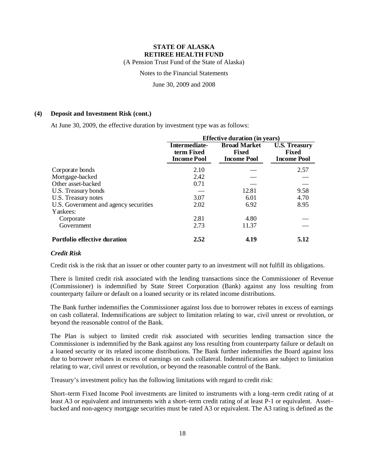(A Pension Trust Fund of the State of Alaska)

Notes to the Financial Statements

June 30, 2009 and 2008

### **(4) Deposit and Investment Risk (cont.)**

At June 30, 2009, the effective duration by investment type was as follows:

|                                       | <b>Effective duration (in years)</b>              |                                                           |                                                            |  |  |
|---------------------------------------|---------------------------------------------------|-----------------------------------------------------------|------------------------------------------------------------|--|--|
|                                       | Intermediate-<br>term Fixed<br><b>Income Pool</b> | <b>Broad Market</b><br><b>Fixed</b><br><b>Income Pool</b> | <b>U.S. Treasury</b><br><b>Fixed</b><br><b>Income Pool</b> |  |  |
| Corporate bonds                       | 2.10                                              |                                                           | 2.57                                                       |  |  |
| Mortgage-backed                       | 2.42                                              |                                                           |                                                            |  |  |
| Other asset-backed                    | 0.71                                              |                                                           |                                                            |  |  |
| U.S. Treasury bonds                   |                                                   | 12.81                                                     | 9.58                                                       |  |  |
| U.S. Treasury notes                   | 3.07                                              | 6.01                                                      | 4.70                                                       |  |  |
| U.S. Government and agency securities | 2.02                                              | 6.92                                                      | 8.95                                                       |  |  |
| Yankees:                              |                                                   |                                                           |                                                            |  |  |
| Corporate                             | 2.81                                              | 4.80                                                      |                                                            |  |  |
| Government                            | 2.73                                              | 11.37                                                     |                                                            |  |  |
| <b>Portfolio effective duration</b>   | 2.52                                              | 4.19                                                      | 5.12                                                       |  |  |

### *Credit Risk*

Credit risk is the risk that an issuer or other counter party to an investment will not fulfill its obligations.

There is limited credit risk associated with the lending transactions since the Commissioner of Revenue (Commissioner) is indemnified by State Street Corporation (Bank) against any loss resulting from counterparty failure or default on a loaned security or its related income distributions.

The Bank further indemnifies the Commissioner against loss due to borrower rebates in excess of earnings on cash collateral. Indemnifications are subject to limitation relating to war, civil unrest or revolution, or beyond the reasonable control of the Bank.

The Plan is subject to limited credit risk associated with securities lending transaction since the Commissioner is indemnified by the Bank against any loss resulting from counterparty failure or default on a loaned security or its related income distributions. The Bank further indemnifies the Board against loss due to borrower rebates in excess of earnings on cash collateral. Indemnifications are subject to limitation relating to war, civil unrest or revolution, or beyond the reasonable control of the Bank.

Treasury's investment policy has the following limitations with regard to credit risk:

Short–term Fixed Income Pool investments are limited to instruments with a long–term credit rating of at least A3 or equivalent and instruments with a short–term credit rating of at least P-1 or equivalent. Asset– backed and non-agency mortgage securities must be rated A3 or equivalent. The A3 rating is defined as the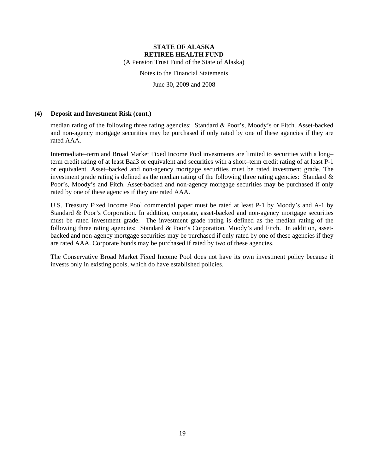(A Pension Trust Fund of the State of Alaska)

Notes to the Financial Statements

June 30, 2009 and 2008

#### **(4) Deposit and Investment Risk (cont.)**

median rating of the following three rating agencies: Standard & Poor's, Moody's or Fitch. Asset-backed and non-agency mortgage securities may be purchased if only rated by one of these agencies if they are rated AAA.

Intermediate–term and Broad Market Fixed Income Pool investments are limited to securities with a long– term credit rating of at least Baa3 or equivalent and securities with a short–term credit rating of at least P-1 or equivalent. Asset–backed and non-agency mortgage securities must be rated investment grade. The investment grade rating is defined as the median rating of the following three rating agencies: Standard  $\&$ Poor's, Moody's and Fitch. Asset-backed and non-agency mortgage securities may be purchased if only rated by one of these agencies if they are rated AAA.

U.S. Treasury Fixed Income Pool commercial paper must be rated at least P-1 by Moody's and A-1 by Standard & Poor's Corporation. In addition, corporate, asset-backed and non-agency mortgage securities must be rated investment grade. The investment grade rating is defined as the median rating of the following three rating agencies: Standard & Poor's Corporation, Moody's and Fitch. In addition, assetbacked and non-agency mortgage securities may be purchased if only rated by one of these agencies if they are rated AAA. Corporate bonds may be purchased if rated by two of these agencies.

The Conservative Broad Market Fixed Income Pool does not have its own investment policy because it invests only in existing pools, which do have established policies.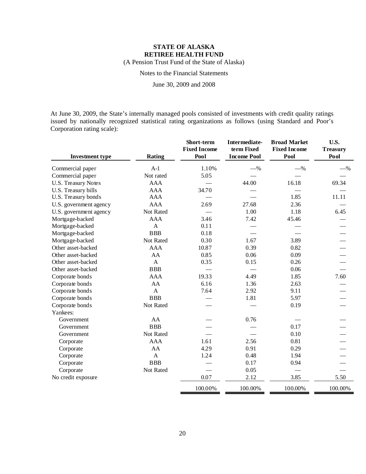(A Pension Trust Fund of the State of Alaska)

Notes to the Financial Statements

June 30, 2009 and 2008

At June 30, 2009, the State's internally managed pools consisted of investments with credit quality ratings issued by nationally recognized statistical rating organizations as follows (using Standard and Poor's Corporation rating scale):

| <b>Investment type</b>     | Rating       | Short-term<br><b>Fixed Income</b><br>Pool | Intermediate-<br>term Fixed<br><b>Income Pool</b> | <b>Broad Market</b><br><b>Fixed Income</b><br>Pool | U.S.<br><b>Treasury</b><br>Pool |
|----------------------------|--------------|-------------------------------------------|---------------------------------------------------|----------------------------------------------------|---------------------------------|
| Commercial paper           | $A-1$        | 1.10%                                     | $-$ %                                             | $-$ %                                              | $-$ %                           |
| Commercial paper           | Not rated    | 5.05                                      |                                                   |                                                    |                                 |
| <b>U.S. Treasury Notes</b> | <b>AAA</b>   |                                           | 44.00                                             | 16.18                                              | 69.34                           |
| U.S. Treasury bills        | <b>AAA</b>   | 34.70                                     |                                                   |                                                    |                                 |
| U.S. Treasury bonds        | <b>AAA</b>   |                                           |                                                   | 1.85                                               | 11.11                           |
| U.S. government agency     | <b>AAA</b>   | 2.69                                      | 27.68                                             | 2.36                                               |                                 |
| U.S. government agency     | Not Rated    |                                           | 1.00                                              | 1.18                                               | 6.45                            |
| Mortgage-backed            | <b>AAA</b>   | 3.46                                      | 7.42                                              | 45.46                                              |                                 |
| Mortgage-backed            | $\mathbf{A}$ | 0.11                                      |                                                   |                                                    |                                 |
| Mortgage-backed            | <b>BBB</b>   | 0.18                                      |                                                   |                                                    |                                 |
| Mortgage-backed            | Not Rated    | 0.30                                      | 1.67                                              | 3.89                                               |                                 |
| Other asset-backed         | <b>AAA</b>   | 10.87                                     | 0.39                                              | 0.82                                               |                                 |
| Other asset-backed         | AA           | 0.85                                      | 0.06                                              | 0.09                                               |                                 |
| Other asset-backed         | $\mathbf{A}$ | 0.35                                      | 0.15                                              | 0.26                                               |                                 |
| Other asset-backed         | <b>BBB</b>   |                                           |                                                   | 0.06                                               |                                 |
| Corporate bonds            | <b>AAA</b>   | 19.33                                     | 4.49                                              | 1.85                                               | 7.60                            |
| Corporate bonds            | AA           | 6.16                                      | 1.36                                              | 2.63                                               |                                 |
| Corporate bonds            | $\mathbf{A}$ | 7.64                                      | 2.92                                              | 9.11                                               |                                 |
| Corporate bonds            | <b>BBB</b>   |                                           | 1.81                                              | 5.97                                               |                                 |
| Corporate bonds            | Not Rated    |                                           |                                                   | 0.19                                               |                                 |
| Yankees:                   |              |                                           |                                                   |                                                    |                                 |
| Government                 | AA           |                                           | 0.76                                              |                                                    |                                 |
| Government                 | BBB          |                                           |                                                   | 0.17                                               |                                 |
| Government                 | Not Rated    |                                           |                                                   | 0.10                                               |                                 |
| Corporate                  | <b>AAA</b>   | 1.61                                      | 2.56                                              | 0.81                                               |                                 |
| Corporate                  | AA           | 4.29                                      | 0.91                                              | 0.29                                               |                                 |
| Corporate                  | $\mathbf{A}$ | 1.24                                      | 0.48                                              | 1.94                                               |                                 |
| Corporate                  | <b>BBB</b>   |                                           | 0.17                                              | 0.94                                               |                                 |
| Corporate                  | Not Rated    |                                           | 0.05                                              |                                                    |                                 |
| No credit exposure         |              | 0.07                                      | 2.12                                              | 3.85                                               | 5.50                            |
|                            |              | 100.00%                                   | 100.00%                                           | 100.00%                                            | 100.00%                         |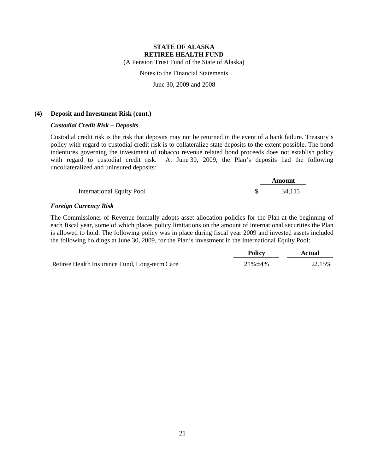(A Pension Trust Fund of the State of Alaska)

### Notes to the Financial Statements

June 30, 2009 and 2008

#### **(4) Deposit and Investment Risk (cont.)**

### *Custodial Credit Risk – Deposits*

Custodial credit risk is the risk that deposits may not be returned in the event of a bank failure. Treasury's policy with regard to custodial credit risk is to collateralize state deposits to the extent possible. The bond indentures governing the investment of tobacco revenue related bond proceeds does not establish policy with regard to custodial credit risk. At June 30, 2009, the Plan's deposits had the following uncollateralized and uninsured deposits:

|                                  | Amount |  |
|----------------------------------|--------|--|
| <b>International Equity Pool</b> | 34,115 |  |

#### *Foreign Currency Risk*

The Commissioner of Revenue formally adopts asset allocation policies for the Plan at the beginning of each fiscal year, some of which places policy limitations on the amount of international securities the Plan is allowed to hold. The following policy was in place during fiscal year 2009 and invested assets included the following holdings at June 30, 2009, for the Plan's investment in the International Equity Pool:

|                                               | <b>Policy</b>  | Actual |
|-----------------------------------------------|----------------|--------|
| Retiree Health Insurance Fund, Long-term Care | $21\% \pm 4\%$ | 22.15% |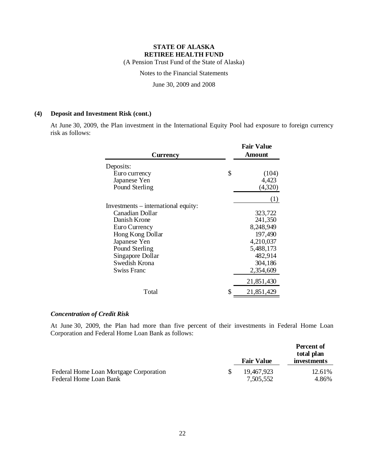(A Pension Trust Fund of the State of Alaska)

Notes to the Financial Statements

June 30, 2009 and 2008

### **(4) Deposit and Investment Risk (cont.)**

At June 30, 2009, the Plan investment in the International Equity Pool had exposure to foreign currency risk as follows:

| <b>Currency</b>                     | <b>Fair Value</b><br><b>Amount</b> |
|-------------------------------------|------------------------------------|
| Deposits:                           |                                    |
| Euro currency                       | \$<br>(104)                        |
| Japanese Yen                        | 4,423                              |
| Pound Sterling                      | (4,320)                            |
|                                     | (1)                                |
| Investments – international equity: |                                    |
| Canadian Dollar                     | 323,722                            |
| Danish Krone                        | 241,350                            |
| Euro Currency                       | 8,248,949                          |
| Hong Kong Dollar                    | 197,490                            |
| Japanese Yen                        | 4,210,037                          |
| Pound Sterling                      | 5,488,173                          |
| Singapore Dollar                    | 482,914                            |
| Swedish Krona                       | 304,186                            |
| <b>Swiss Franc</b>                  | 2,354,609                          |
|                                     | 21,851,430                         |
| Total                               | \$<br>21,851,429                   |

### *Concentration of Credit Risk*

At June 30, 2009, the Plan had more than five percent of their investments in Federal Home Loan Corporation and Federal Home Loan Bank as follows:

|                                        | <b>Fair Value</b> | Percent of<br>total plan<br>investments |
|----------------------------------------|-------------------|-----------------------------------------|
| Federal Home Loan Mortgage Corporation | 19,467,923        | 12.61%                                  |
| Federal Home Loan Bank                 | 7,505,552         | 4.86%                                   |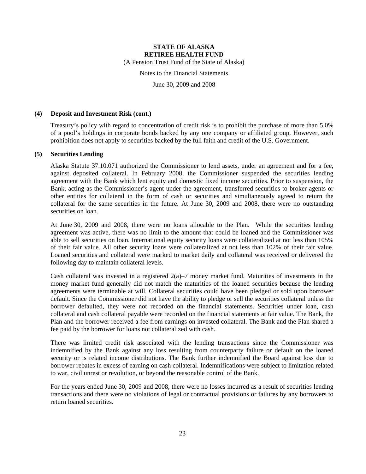(A Pension Trust Fund of the State of Alaska)

Notes to the Financial Statements

June 30, 2009 and 2008

#### **(4) Deposit and Investment Risk (cont.)**

Treasury's policy with regard to concentration of credit risk is to prohibit the purchase of more than 5.0% of a pool's holdings in corporate bonds backed by any one company or affiliated group. However, such prohibition does not apply to securities backed by the full faith and credit of the U.S. Government.

#### **(5) Securities Lending**

Alaska Statute 37.10.071 authorized the Commissioner to lend assets, under an agreement and for a fee, against deposited collateral. In February 2008, the Commissioner suspended the securities lending agreement with the Bank which lent equity and domestic fixed income securities. Prior to suspension, the Bank, acting as the Commissioner's agent under the agreement, transferred securities to broker agents or other entities for collateral in the form of cash or securities and simultaneously agreed to return the collateral for the same securities in the future. At June 30, 2009 and 2008, there were no outstanding securities on loan.

At June 30, 2009 and 2008, there were no loans allocable to the Plan. While the securities lending agreement was active, there was no limit to the amount that could be loaned and the Commissioner was able to sell securities on loan. International equity security loans were collateralized at not less than 105% of their fair value. All other security loans were collateralized at not less than 102% of their fair value. Loaned securities and collateral were marked to market daily and collateral was received or delivered the following day to maintain collateral levels.

Cash collateral was invested in a registered  $2(a)$ –7 money market fund. Maturities of investments in the money market fund generally did not match the maturities of the loaned securities because the lending agreements were terminable at will. Collateral securities could have been pledged or sold upon borrower default. Since the Commissioner did not have the ability to pledge or sell the securities collateral unless the borrower defaulted, they were not recorded on the financial statements. Securities under loan, cash collateral and cash collateral payable were recorded on the financial statements at fair value. The Bank, the Plan and the borrower received a fee from earnings on invested collateral. The Bank and the Plan shared a fee paid by the borrower for loans not collateralized with cash.

There was limited credit risk associated with the lending transactions since the Commissioner was indemnified by the Bank against any loss resulting from counterparty failure or default on the loaned security or is related income distributions. The Bank further indemnified the Board against loss due to borrower rebates in excess of earning on cash collateral. Indemnifications were subject to limitation related to war, civil unrest or revolution, or beyond the reasonable control of the Bank.

For the years ended June 30, 2009 and 2008, there were no losses incurred as a result of securities lending transactions and there were no violations of legal or contractual provisions or failures by any borrowers to return loaned securities.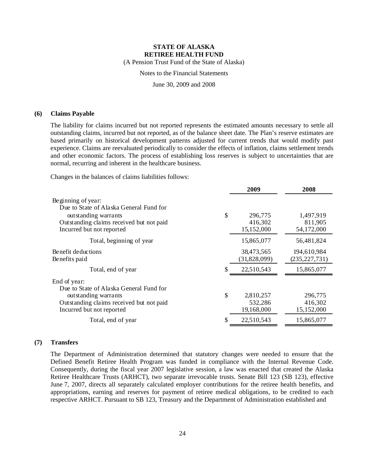(A Pension Trust Fund of the State of Alaska)

Notes to the Financial Statements

June 30, 2009 and 2008

#### **(6) Claims Payable**

The liability for claims incurred but not reported represents the estimated amounts necessary to settle all outstanding claims, incurred but not reported, as of the balance sheet date. The Plan's reserve estimates are based primarily on historical development patterns adjusted for current trends that would modify past experience. Claims are reevaluated periodically to consider the effects of inflation, claims settlement trends and other economic factors. The process of establishing loss reserves is subject to uncertainties that are normal, recurring and inherent in the healthcare business.

Changes in the balances of claims liabilities follows:

|                                                                                                                                                                | 2009                                   | 2008                               |
|----------------------------------------------------------------------------------------------------------------------------------------------------------------|----------------------------------------|------------------------------------|
| Beginning of year:<br>Due to State of Alaska General Fund for<br>outstanding warrants<br>Outstanding claims received but not paid<br>Incurred but not reported | \$<br>296,775<br>416,302<br>15,152,000 | 1,497,919<br>811,905<br>54,172,000 |
| Total, beginning of year                                                                                                                                       | 15,865,077                             | 56,481,824                         |
| Benefit deductions<br>Benefits paid                                                                                                                            | 38,473,565<br>(31,828,099)             | 194,610,984<br>(235, 227, 731)     |
| Total, end of year                                                                                                                                             | \$<br>22,510,543                       | 15,865,077                         |
| End of year:<br>Due to State of Alaska General Fund for<br>outstanding warrants<br>Outstanding claims received but not paid                                    | \$<br>2,810,257<br>532,286             | 296,775<br>416,302                 |
| Total, end of year                                                                                                                                             | \$<br>22,510,543                       | 15,865,077                         |
| Incurred but not reported                                                                                                                                      | 19,168,000                             | 15,152,000                         |

#### **(7) Transfers**

The Department of Administration determined that statutory changes were needed to ensure that the Defined Benefit Retiree Health Program was funded in compliance with the Internal Revenue Code. Consequently, during the fiscal year 2007 legislative session, a law was enacted that created the Alaska Retiree Healthcare Trusts (ARHCT), two separate irrevocable trusts. Senate Bill 123 (SB 123), effective June 7, 2007, directs all separately calculated employer contributions for the retiree health benefits, and appropriations, earning and reserves for payment of retiree medical obligations, to be credited to each respective ARHCT. Pursuant to SB 123, Treasury and the Department of Administration established and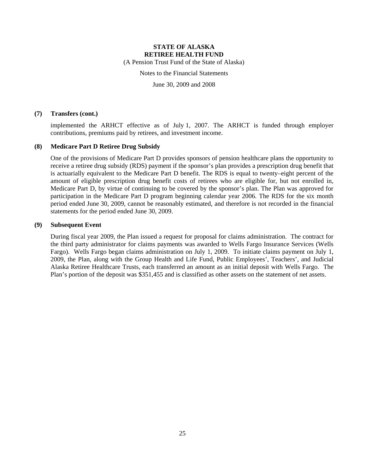(A Pension Trust Fund of the State of Alaska)

Notes to the Financial Statements

June 30, 2009 and 2008

#### **(7) Transfers (cont.)**

implemented the ARHCT effective as of July 1, 2007. The ARHCT is funded through employer contributions, premiums paid by retirees, and investment income.

#### **(8) Medicare Part D Retiree Drug Subsidy**

One of the provisions of Medicare Part D provides sponsors of pension healthcare plans the opportunity to receive a retiree drug subsidy (RDS) payment if the sponsor's plan provides a prescription drug benefit that is actuarially equivalent to the Medicare Part D benefit. The RDS is equal to twenty–eight percent of the amount of eligible prescription drug benefit costs of retirees who are eligible for, but not enrolled in, Medicare Part D, by virtue of continuing to be covered by the sponsor's plan. The Plan was approved for participation in the Medicare Part D program beginning calendar year 2006. The RDS for the six month period ended June 30, 2009, cannot be reasonably estimated, and therefore is not recorded in the financial statements for the period ended June 30, 2009.

### **(9) Subsequent Event**

During fiscal year 2009, the Plan issued a request for proposal for claims administration. The contract for the third party administrator for claims payments was awarded to Wells Fargo Insurance Services (Wells Fargo). Wells Fargo began claims administration on July 1, 2009. To initiate claims payment on July 1, 2009, the Plan, along with the Group Health and Life Fund, Public Employees', Teachers', and Judicial Alaska Retiree Healthcare Trusts, each transferred an amount as an initial deposit with Wells Fargo. The Plan's portion of the deposit was \$351,455 and is classified as other assets on the statement of net assets.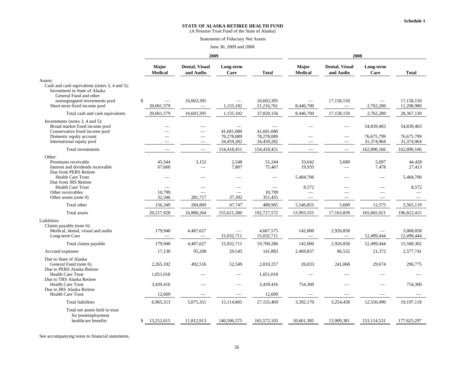(A Pension Trust Fund of the State of Alaska)

#### Statements of Fiduciary Net Assets

#### June 30, 2009 and 2008

|                                                                                                                     |                                              | 2009                                   |                          |                          | 2008                    |                                    |                          |                          |
|---------------------------------------------------------------------------------------------------------------------|----------------------------------------------|----------------------------------------|--------------------------|--------------------------|-------------------------|------------------------------------|--------------------------|--------------------------|
|                                                                                                                     | Major<br><b>Medical</b>                      | <b>Dental, Visual</b><br>and Audio     | Long-term<br>Care        | <b>Total</b>             | Major<br><b>Medical</b> | <b>Dental, Visual</b><br>and Audio | Long-term<br>Care        | <b>Total</b>             |
| Assets:<br>Cash and cash equivalents (notes 3, 4 and 5):<br>Investment in State of Alaska<br>General Fund and other |                                              |                                        |                          |                          |                         |                                    |                          |                          |
| nonsegregated investments pool<br>Short-term fixed income pool                                                      | \$<br>$\overline{\phantom{0}}$<br>20,061,579 | 16,603,395<br>$\overline{\phantom{0}}$ | 1,155,182                | 16,603,395<br>21,216,761 | 8,446,700               | 17,158,150                         | 2,762,280                | 17,158,150<br>11,208,980 |
| Total cash and cash equivalents                                                                                     | 20,061,579                                   | 16.603.395                             | 1,155,182                | 37,820,156               | 8,446,700               | 17,158,150                         | 2,762,280                | 28,367,130               |
| Investments (notes 3, 4 and 5):<br>Broad market fixed income pool<br>Conservative fixed income pool                 |                                              |                                        | 41,681,080               | 41,681,080               |                         |                                    | 54,839,403               | 54,839,403               |
| Domestic equity account<br>International equity pool                                                                |                                              | $\overline{\phantom{a}}$               | 78,278,089<br>34,459,282 | 78,278,089<br>34,459,282 |                         |                                    | 76,675,799<br>31,374,964 | 76,675,799<br>31,374,964 |
| Total investments                                                                                                   |                                              |                                        | 154,418,451              | 154,418,451              |                         |                                    | 162,890,166              | 162,890,166              |
| Other:<br>Premiums receivable<br>Interest and dividends receivable<br>Due from PERS Retiree                         | 45.544<br>67,660                             | 3,152                                  | 2,548<br>7,807           | 51,244<br>75,467         | 33,642<br>19,935        | 5,689                              | 5,097<br>7,478           | 44,428<br>27,413         |
| <b>Health Care Trust</b>                                                                                            |                                              |                                        |                          |                          | 5,484,706               |                                    |                          | 5,484,706                |
| Due from JRS Retiree<br><b>Health Care Trust</b><br>Other receivables<br>Other assets (note 9)                      | 10,799<br>32,346                             | 281,717                                | 37,392                   | 10,799<br>351,455        | 8.572                   |                                    | $\qquad \qquad$          | 8,572                    |
| Total other                                                                                                         | 156,349                                      | 284,869                                | 47,747                   | 488,965                  | 5,546,855               | 5,689                              | 12,575                   | 5,565,119                |
| Total assets                                                                                                        | 20,217,928                                   | 16,888,264                             | 155,621,380              | 192,727,572              | 13,993,555              | 17,163,839                         | 165,665,021              | 196,822,415              |
| Liabilities:<br>Claims payable (note 6):<br>Medical, dental, visual and audio<br>Long-term Care                     | 179,948                                      | 4,487,627                              | 15,032,711               | 4,667,575<br>15,032,711  | 142,000                 | 2,926,858                          | 12,499,444               | 3,068,858<br>12,499,444  |
| Total claims payable                                                                                                | 179,948                                      | 4,487,627                              | 15,032,711               | 19,700,286               | 142,000                 | 2,926,858                          | 12,499,444               | 15,568,302               |
| Accrued expenses                                                                                                    | 17,130                                       | 95,208                                 | 29,545                   | 141,883                  | 2,469,837               | 86,532                             | 21,372                   | 2,577,741                |
| Due to State of Alaska<br>General Fund (note 6)<br>Due to PERS Alaska Retiree                                       | 2,265,192                                    | 492,516                                | 52,549                   | 2,810,257                | 26,033                  | 241,068                            | 29,674                   | 296,775                  |
| <b>Health Care Trust</b><br>Due to TRS Alaska Retiree                                                               | 1,051,018                                    |                                        |                          | 1,051,018                |                         |                                    |                          |                          |
| <b>Health Care Trust</b><br>Due to JRS Alaska Retiree                                                               | 3,439,416                                    |                                        |                          | 3,439,416                | 754,300                 |                                    |                          | 754,300                  |
| <b>Health Care Trust</b><br><b>Total liabilities</b>                                                                | 12,609<br>6,965,313                          | 5,075,351                              | 15,114,805               | 12,609<br>27,155,469     | 3,392,170               | 3,254,458                          | 12,550,490               | 19,197,118               |
| Total net assets held in trust                                                                                      |                                              |                                        |                          |                          |                         |                                    |                          |                          |
| for postemployment<br>healthcare benefits                                                                           | 13,252,615<br>S                              | 11,812,913                             | 140,506,575              | 165,572,103              | 10,601,385              | 13,909,381                         | 153,114,531              | 177,625,297              |

See accompanying notes to financial statements.